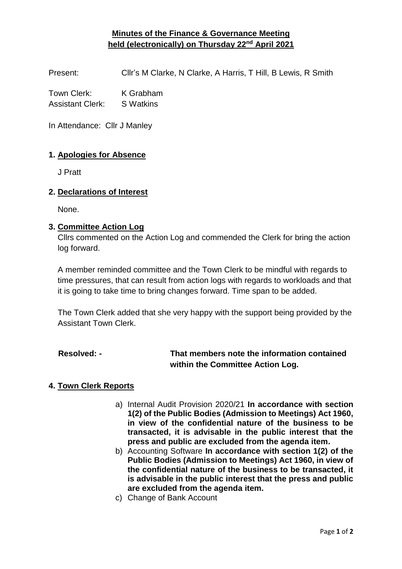## **Minutes of the Finance & Governance Meeting held (electronically) on Thursday 22nd April 2021**

Present: Cllr's M Clarke, N Clarke, A Harris, T Hill, B Lewis, R Smith

Town Clerk: K Grabham Assistant Clerk: S Watkins

In Attendance: Cllr J Manley

#### **1. Apologies for Absence**

J Pratt

#### **2. Declarations of Interest**

None.

#### **3. Committee Action Log**

Cllrs commented on the Action Log and commended the Clerk for bring the action log forward.

A member reminded committee and the Town Clerk to be mindful with regards to time pressures, that can result from action logs with regards to workloads and that it is going to take time to bring changes forward. Time span to be added.

The Town Clerk added that she very happy with the support being provided by the Assistant Town Clerk.

## **Resolved: - That members note the information contained within the Committee Action Log.**

#### **4. Town Clerk Reports**

- a) Internal Audit Provision 2020/21 **In accordance with section 1(2) of the Public Bodies (Admission to Meetings) Act 1960, in view of the confidential nature of the business to be transacted, it is advisable in the public interest that the press and public are excluded from the agenda item.**
- b) Accounting Software **In accordance with section 1(2) of the Public Bodies (Admission to Meetings) Act 1960, in view of the confidential nature of the business to be transacted, it is advisable in the public interest that the press and public are excluded from the agenda item.**
- c) Change of Bank Account